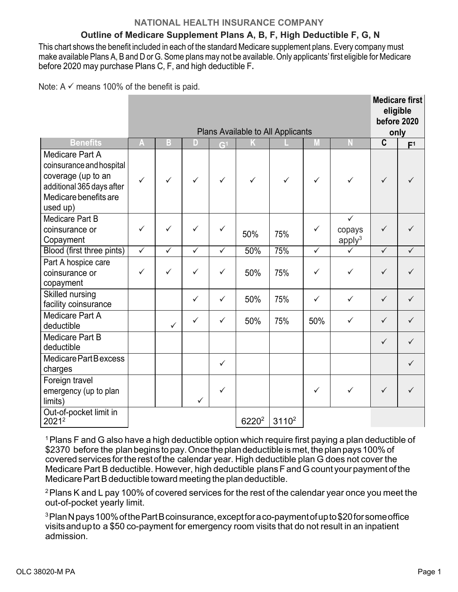### **NATIONAL HEALTH INSURANCE COMPANY**

# **Outline of Medicare Supplement Plans A, B, F, High Deductible F, G, N**

This chart shows the benefit included in each of the standard Medicare supplement plans. Every company must make available Plans A, B and D or G. Some plans may not be available. Only applicants'first eligible for Medicare before 2020 may purchase Plans C, F, and high deductible F**.**

Note:  $A \vee$  means 100% of the benefit is paid.

|                                                                                                                                     |              | Plans Available to All Applicants |              |                |                   |          |              |                                              |              |                        |
|-------------------------------------------------------------------------------------------------------------------------------------|--------------|-----------------------------------|--------------|----------------|-------------------|----------|--------------|----------------------------------------------|--------------|------------------------|
| <b>Benefits</b>                                                                                                                     | A            | B                                 | D            | G <sup>1</sup> |                   |          | M            | $\Lambda$                                    | $\mathbf c$  | only<br>F <sup>1</sup> |
| Medicare Part A<br>coinsurance and hospital<br>coverage (up to an<br>additional 365 days after<br>Medicare benefits are<br>used up) | $\checkmark$ | ✓                                 | ✓            | ✓              | ✓                 |          | $\checkmark$ | ✓                                            | $\checkmark$ |                        |
| Medicare Part B<br>coinsurance or<br>Copayment                                                                                      | ✓            | ✓                                 | ✓            | ✓              | 50%               | 75%      | ✓            | $\checkmark$<br>copays<br>apply <sup>3</sup> | ✓            |                        |
| Blood (first three pints)                                                                                                           | $\checkmark$ | $\checkmark$                      | $\checkmark$ | $\checkmark$   | 50%               | 75%      | $\checkmark$ | ✓                                            | $\checkmark$ | ✓                      |
| Part A hospice care<br>coinsurance or<br>copayment                                                                                  | $\checkmark$ | $\checkmark$                      | $\checkmark$ | $\checkmark$   | 50%               | 75%      | $\checkmark$ | ✓                                            | $\checkmark$ |                        |
| <b>Skilled nursing</b><br>facility coinsurance                                                                                      |              |                                   | $\checkmark$ | $\checkmark$   | 50%               | 75%      | $\checkmark$ | $\checkmark$                                 | $\checkmark$ | $\checkmark$           |
| <b>Medicare Part A</b><br>deductible                                                                                                |              | $\checkmark$                      | $\checkmark$ | $\checkmark$   | 50%               | 75%      | 50%          | ✓                                            | $\checkmark$ | $\checkmark$           |
| Medicare Part B<br>deductible                                                                                                       |              |                                   |              |                |                   |          |              |                                              | $\checkmark$ | $\checkmark$           |
| Medicare Part Bexcess<br>charges                                                                                                    |              |                                   |              | $\checkmark$   |                   |          |              |                                              |              | $\checkmark$           |
| Foreign travel<br>emergency (up to plan<br>limits)                                                                                  |              |                                   |              | $\checkmark$   |                   |          | $\checkmark$ | $\checkmark$                                 | $\checkmark$ |                        |
| Out-of-pocket limit in<br>20212                                                                                                     |              |                                   |              |                | 6220 <sup>2</sup> | $3110^2$ |              |                                              |              |                        |

 $1$  Plans F and G also have a high deductible option which require first paying a plan deductible of \$2370 before the plan begins to pay. Once the plan deductible is met, the plan pays 100% of covered services for the rest of the calendar year. High deductible plan G does not cover the Medicare Part B deductible. However, high deductible plans F and G count your payment of the Medicare Part B deductible toward meeting the plan deductible.

<sup>2</sup> Plans K and L pay 100% of covered services for the rest of the calendar year once you meet the out-of-pocket yearly limit.

3PlanNpays100%ofthePartBcoinsurance,exceptforaco-paymentofupto\$20forsomeoffice visitsandupto a \$50 co-payment for emergency room visits that do not result in an inpatient admission.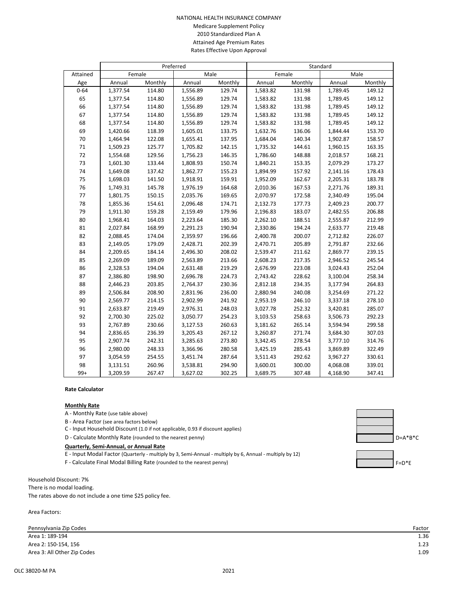#### NATIONAL HEALTH INSURANCE COMPANY Medicare Supplement Policy 2010 Standardized Plan A Attained Age Premium Rates Rates Effective Upon Approval

|          | Preferred |         |          |         | Standard |         |          |         |
|----------|-----------|---------|----------|---------|----------|---------|----------|---------|
| Attained |           | Female  | Male     |         | Female   |         | Male     |         |
| Age      | Annual    | Monthly | Annual   | Monthly | Annual   | Monthly | Annual   | Monthly |
| $0 - 64$ | 1,377.54  | 114.80  | 1,556.89 | 129.74  | 1,583.82 | 131.98  | 1,789.45 | 149.12  |
| 65       | 1,377.54  | 114.80  | 1,556.89 | 129.74  | 1,583.82 | 131.98  | 1,789.45 | 149.12  |
| 66       | 1,377.54  | 114.80  | 1,556.89 | 129.74  | 1,583.82 | 131.98  | 1,789.45 | 149.12  |
| 67       | 1,377.54  | 114.80  | 1,556.89 | 129.74  | 1,583.82 | 131.98  | 1,789.45 | 149.12  |
| 68       | 1,377.54  | 114.80  | 1,556.89 | 129.74  | 1,583.82 | 131.98  | 1,789.45 | 149.12  |
| 69       | 1,420.66  | 118.39  | 1,605.01 | 133.75  | 1,632.76 | 136.06  | 1,844.44 | 153.70  |
| 70       | 1,464.94  | 122.08  | 1,655.41 | 137.95  | 1,684.04 | 140.34  | 1,902.87 | 158.57  |
| $71\,$   | 1,509.23  | 125.77  | 1,705.82 | 142.15  | 1,735.32 | 144.61  | 1,960.15 | 163.35  |
| 72       | 1,554.68  | 129.56  | 1,756.23 | 146.35  | 1,786.60 | 148.88  | 2,018.57 | 168.21  |
| 73       | 1,601.30  | 133.44  | 1,808.93 | 150.74  | 1,840.21 | 153.35  | 2,079.29 | 173.27  |
| 74       | 1,649.08  | 137.42  | 1,862.77 | 155.23  | 1,894.99 | 157.92  | 2,141.16 | 178.43  |
| 75       | 1,698.03  | 141.50  | 1,918.91 | 159.91  | 1,952.09 | 162.67  | 2,205.31 | 183.78  |
| 76       | 1,749.31  | 145.78  | 1,976.19 | 164.68  | 2,010.36 | 167.53  | 2,271.76 | 189.31  |
| 77       | 1,801.75  | 150.15  | 2,035.76 | 169.65  | 2,070.97 | 172.58  | 2,340.49 | 195.04  |
| 78       | 1,855.36  | 154.61  | 2,096.48 | 174.71  | 2,132.73 | 177.73  | 2,409.23 | 200.77  |
| 79       | 1,911.30  | 159.28  | 2,159.49 | 179.96  | 2,196.83 | 183.07  | 2,482.55 | 206.88  |
| 80       | 1,968.41  | 164.03  | 2,223.64 | 185.30  | 2,262.10 | 188.51  | 2,555.87 | 212.99  |
| 81       | 2,027.84  | 168.99  | 2,291.23 | 190.94  | 2,330.86 | 194.24  | 2,633.77 | 219.48  |
| 82       | 2,088.45  | 174.04  | 2,359.97 | 196.66  | 2,400.78 | 200.07  | 2,712.82 | 226.07  |
| 83       | 2,149.05  | 179.09  | 2,428.71 | 202.39  | 2,470.71 | 205.89  | 2,791.87 | 232.66  |
| 84       | 2,209.65  | 184.14  | 2,496.30 | 208.02  | 2,539.47 | 211.62  | 2,869.77 | 239.15  |
| 85       | 2,269.09  | 189.09  | 2,563.89 | 213.66  | 2,608.23 | 217.35  | 2,946.52 | 245.54  |
| 86       | 2,328.53  | 194.04  | 2,631.48 | 219.29  | 2,676.99 | 223.08  | 3,024.43 | 252.04  |
| 87       | 2,386.80  | 198.90  | 2,696.78 | 224.73  | 2,743.42 | 228.62  | 3,100.04 | 258.34  |
| 88       | 2,446.23  | 203.85  | 2,764.37 | 230.36  | 2,812.18 | 234.35  | 3,177.94 | 264.83  |
| 89       | 2,506.84  | 208.90  | 2,831.96 | 236.00  | 2,880.94 | 240.08  | 3,254.69 | 271.22  |
| 90       | 2,569.77  | 214.15  | 2,902.99 | 241.92  | 2,953.19 | 246.10  | 3,337.18 | 278.10  |
| 91       | 2,633.87  | 219.49  | 2,976.31 | 248.03  | 3,027.78 | 252.32  | 3,420.81 | 285.07  |
| 92       | 2,700.30  | 225.02  | 3,050.77 | 254.23  | 3,103.53 | 258.63  | 3,506.73 | 292.23  |
| 93       | 2,767.89  | 230.66  | 3,127.53 | 260.63  | 3,181.62 | 265.14  | 3,594.94 | 299.58  |
| 94       | 2,836.65  | 236.39  | 3,205.43 | 267.12  | 3,260.87 | 271.74  | 3,684.30 | 307.03  |
| 95       | 2,907.74  | 242.31  | 3,285.63 | 273.80  | 3,342.45 | 278.54  | 3,777.10 | 314.76  |
| 96       | 2,980.00  | 248.33  | 3,366.96 | 280.58  | 3,425.19 | 285.43  | 3,869.89 | 322.49  |
| 97       | 3,054.59  | 254.55  | 3,451.74 | 287.64  | 3,511.43 | 292.62  | 3,967.27 | 330.61  |
| 98       | 3,131.51  | 260.96  | 3,538.81 | 294.90  | 3,600.01 | 300.00  | 4,068.08 | 339.01  |
| $99+$    | 3,209.59  | 267.47  | 3,627.02 | 302.25  | 3,689.75 | 307.48  | 4,168.90 | 347.41  |

### **Rate Calculator**

#### **Monthly Rate**

A - Monthly Rate (use table above)

B - Area Factor (see area factors below)

C - Input Household Discount (1.0 if not applicable, 0.93 if discount applies)

D - Calculate Monthly Rate (rounded to the nearest penny) D=A\*B\*C

#### **Quarterly, Semi-Annual, or Annual Rate**

- E Input Modal Factor (Quarterly multiply by 3, Semi-Annual multiply by 6, Annual multiply by 12)
- F Calculate Final Modal Billing Rate (rounded to the nearest penny) F Calculate Final Modal Billing Rate (rounded to the nearest penny)

Household Discount: 7% There is no modal loading. The rates above do not include a one time \$25 policy fee.

Area Factors:





| Factoi |  |
|--------|--|
| 1 36   |  |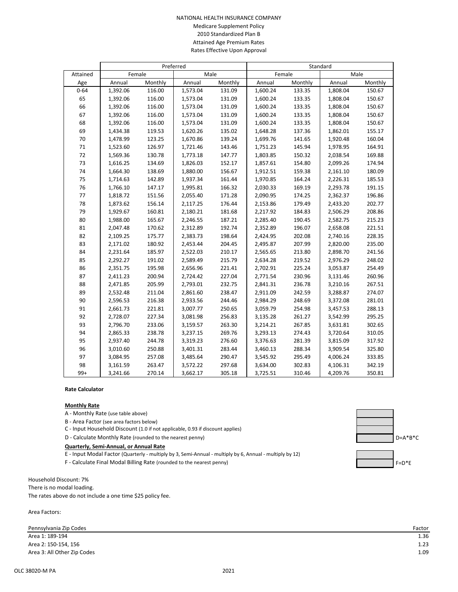#### NATIONAL HEALTH INSURANCE COMPANY Medicare Supplement Policy 2010 Standardized Plan B Attained Age Premium Rates Rates Effective Upon Approval

|          | Preferred |         |          |         | Standard |         |          |         |
|----------|-----------|---------|----------|---------|----------|---------|----------|---------|
| Attained |           | Female  |          | Male    | Female   |         | Male     |         |
| Age      | Annual    | Monthly | Annual   | Monthly | Annual   | Monthly | Annual   | Monthly |
| $0 - 64$ | 1,392.06  | 116.00  | 1,573.04 | 131.09  | 1,600.24 | 133.35  | 1,808.04 | 150.67  |
| 65       | 1,392.06  | 116.00  | 1,573.04 | 131.09  | 1,600.24 | 133.35  | 1,808.04 | 150.67  |
| 66       | 1,392.06  | 116.00  | 1,573.04 | 131.09  | 1,600.24 | 133.35  | 1,808.04 | 150.67  |
| 67       | 1,392.06  | 116.00  | 1,573.04 | 131.09  | 1,600.24 | 133.35  | 1,808.04 | 150.67  |
| 68       | 1,392.06  | 116.00  | 1,573.04 | 131.09  | 1,600.24 | 133.35  | 1,808.04 | 150.67  |
| 69       | 1,434.38  | 119.53  | 1,620.26 | 135.02  | 1,648.28 | 137.36  | 1,862.01 | 155.17  |
| 70       | 1,478.99  | 123.25  | 1,670.86 | 139.24  | 1,699.76 | 141.65  | 1,920.48 | 160.04  |
| $71\,$   | 1,523.60  | 126.97  | 1,721.46 | 143.46  | 1,751.23 | 145.94  | 1,978.95 | 164.91  |
| 72       | 1,569.36  | 130.78  | 1,773.18 | 147.77  | 1,803.85 | 150.32  | 2,038.54 | 169.88  |
| 73       | 1,616.25  | 134.69  | 1,826.03 | 152.17  | 1,857.61 | 154.80  | 2,099.26 | 174.94  |
| 74       | 1,664.30  | 138.69  | 1,880.00 | 156.67  | 1,912.51 | 159.38  | 2,161.10 | 180.09  |
| 75       | 1,714.63  | 142.89  | 1,937.34 | 161.44  | 1,970.85 | 164.24  | 2,226.31 | 185.53  |
| 76       | 1,766.10  | 147.17  | 1,995.81 | 166.32  | 2,030.33 | 169.19  | 2,293.78 | 191.15  |
| 77       | 1,818.72  | 151.56  | 2,055.40 | 171.28  | 2,090.95 | 174.25  | 2,362.37 | 196.86  |
| 78       | 1,873.62  | 156.14  | 2,117.25 | 176.44  | 2,153.86 | 179.49  | 2,433.20 | 202.77  |
| 79       | 1,929.67  | 160.81  | 2,180.21 | 181.68  | 2,217.92 | 184.83  | 2,506.29 | 208.86  |
| 80       | 1,988.00  | 165.67  | 2,246.55 | 187.21  | 2,285.40 | 190.45  | 2,582.75 | 215.23  |
| 81       | 2,047.48  | 170.62  | 2,312.89 | 192.74  | 2,352.89 | 196.07  | 2,658.08 | 221.51  |
| 82       | 2,109.25  | 175.77  | 2,383.73 | 198.64  | 2,424.95 | 202.08  | 2,740.16 | 228.35  |
| 83       | 2,171.02  | 180.92  | 2,453.44 | 204.45  | 2,495.87 | 207.99  | 2,820.00 | 235.00  |
| 84       | 2,231.64  | 185.97  | 2,522.03 | 210.17  | 2,565.65 | 213.80  | 2,898.70 | 241.56  |
| 85       | 2,292.27  | 191.02  | 2,589.49 | 215.79  | 2,634.28 | 219.52  | 2,976.29 | 248.02  |
| 86       | 2,351.75  | 195.98  | 2,656.96 | 221.41  | 2,702.91 | 225.24  | 3,053.87 | 254.49  |
| 87       | 2,411.23  | 200.94  | 2,724.42 | 227.04  | 2,771.54 | 230.96  | 3,131.46 | 260.96  |
| 88       | 2,471.85  | 205.99  | 2,793.01 | 232.75  | 2,841.31 | 236.78  | 3,210.16 | 267.51  |
| 89       | 2,532.48  | 211.04  | 2,861.60 | 238.47  | 2,911.09 | 242.59  | 3,288.87 | 274.07  |
| 90       | 2,596.53  | 216.38  | 2,933.56 | 244.46  | 2,984.29 | 248.69  | 3,372.08 | 281.01  |
| 91       | 2,661.73  | 221.81  | 3,007.77 | 250.65  | 3,059.79 | 254.98  | 3,457.53 | 288.13  |
| 92       | 2,728.07  | 227.34  | 3,081.98 | 256.83  | 3,135.28 | 261.27  | 3,542.99 | 295.25  |
| 93       | 2,796.70  | 233.06  | 3,159.57 | 263.30  | 3,214.21 | 267.85  | 3,631.81 | 302.65  |
| 94       | 2,865.33  | 238.78  | 3,237.15 | 269.76  | 3,293.13 | 274.43  | 3,720.64 | 310.05  |
| 95       | 2,937.40  | 244.78  | 3,319.23 | 276.60  | 3,376.63 | 281.39  | 3,815.09 | 317.92  |
| 96       | 3,010.60  | 250.88  | 3,401.31 | 283.44  | 3,460.13 | 288.34  | 3,909.54 | 325.80  |
| 97       | 3,084.95  | 257.08  | 3,485.64 | 290.47  | 3,545.92 | 295.49  | 4,006.24 | 333.85  |
| 98       | 3,161.59  | 263.47  | 3,572.22 | 297.68  | 3,634.00 | 302.83  | 4,106.31 | 342.19  |
| $99+$    | 3,241.66  | 270.14  | 3,662.17 | 305.18  | 3,725.51 | 310.46  | 4,209.76 | 350.81  |

### **Rate Calculator**

#### **Monthly Rate**

A - Monthly Rate (use table above)

B - Area Factor (see area factors below)

C - Input Household Discount (1.0 if not applicable, 0.93 if discount applies)

D - Calculate Monthly Rate (rounded to the nearest penny) D=A\*B\*C

#### **Quarterly, Semi-Annual, or Annual Rate**

- E Input Modal Factor (Quarterly multiply by 3, Semi-Annual multiply by 6, Annual multiply by 12)
- F Calculate Final Modal Billing Rate (rounded to the nearest penny) F Calculate Final Modal Billing Rate (rounded to the nearest penny)

Household Discount: 7% There is no modal loading. The rates above do not include a one time \$25 policy fee.

Area Factors:



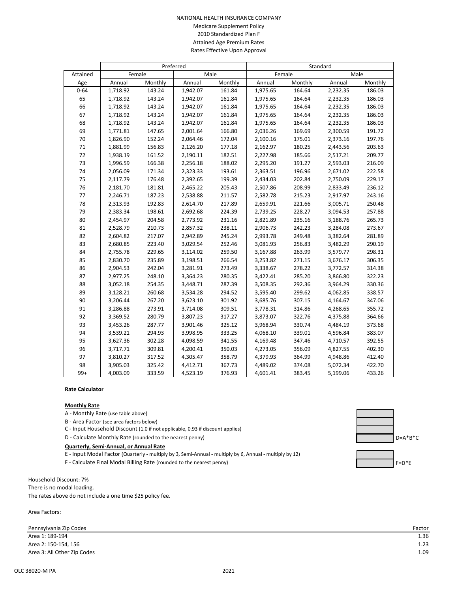#### NATIONAL HEALTH INSURANCE COMPANY Medicare Supplement Policy 2010 Standardized Plan F Attained Age Premium Rates Rates Effective Upon Approval

|          | Preferred |         |          |         | Standard |         |          |         |
|----------|-----------|---------|----------|---------|----------|---------|----------|---------|
| Attained |           | Female  |          | Male    | Female   |         | Male     |         |
| Age      | Annual    | Monthly | Annual   | Monthly | Annual   | Monthly | Annual   | Monthly |
| $0 - 64$ | 1,718.92  | 143.24  | 1,942.07 | 161.84  | 1,975.65 | 164.64  | 2,232.35 | 186.03  |
| 65       | 1,718.92  | 143.24  | 1,942.07 | 161.84  | 1,975.65 | 164.64  | 2,232.35 | 186.03  |
| 66       | 1,718.92  | 143.24  | 1,942.07 | 161.84  | 1,975.65 | 164.64  | 2,232.35 | 186.03  |
| 67       | 1,718.92  | 143.24  | 1,942.07 | 161.84  | 1,975.65 | 164.64  | 2,232.35 | 186.03  |
| 68       | 1,718.92  | 143.24  | 1,942.07 | 161.84  | 1,975.65 | 164.64  | 2,232.35 | 186.03  |
| 69       | 1,771.81  | 147.65  | 2,001.64 | 166.80  | 2,036.26 | 169.69  | 2,300.59 | 191.72  |
| 70       | 1,826.90  | 152.24  | 2,064.46 | 172.04  | 2,100.16 | 175.01  | 2,373.16 | 197.76  |
| 71       | 1,881.99  | 156.83  | 2,126.20 | 177.18  | 2,162.97 | 180.25  | 2,443.56 | 203.63  |
| 72       | 1,938.19  | 161.52  | 2,190.11 | 182.51  | 2,227.98 | 185.66  | 2,517.21 | 209.77  |
| 73       | 1,996.59  | 166.38  | 2,256.18 | 188.02  | 2,295.20 | 191.27  | 2,593.03 | 216.09  |
| 74       | 2,056.09  | 171.34  | 2,323.33 | 193.61  | 2,363.51 | 196.96  | 2,671.02 | 222.58  |
| 75       | 2,117.79  | 176.48  | 2,392.65 | 199.39  | 2,434.03 | 202.84  | 2,750.09 | 229.17  |
| 76       | 2,181.70  | 181.81  | 2,465.22 | 205.43  | 2,507.86 | 208.99  | 2,833.49 | 236.12  |
| 77       | 2,246.71  | 187.23  | 2,538.88 | 211.57  | 2,582.78 | 215.23  | 2,917.97 | 243.16  |
| 78       | 2,313.93  | 192.83  | 2,614.70 | 217.89  | 2,659.91 | 221.66  | 3,005.71 | 250.48  |
| 79       | 2,383.34  | 198.61  | 2,692.68 | 224.39  | 2,739.25 | 228.27  | 3,094.53 | 257.88  |
| 80       | 2,454.97  | 204.58  | 2,773.92 | 231.16  | 2,821.89 | 235.16  | 3,188.76 | 265.73  |
| 81       | 2,528.79  | 210.73  | 2,857.32 | 238.11  | 2,906.73 | 242.23  | 3,284.08 | 273.67  |
| 82       | 2,604.82  | 217.07  | 2,942.89 | 245.24  | 2,993.78 | 249.48  | 3,382.64 | 281.89  |
| 83       | 2,680.85  | 223.40  | 3,029.54 | 252.46  | 3,081.93 | 256.83  | 3,482.29 | 290.19  |
| 84       | 2,755.78  | 229.65  | 3,114.02 | 259.50  | 3,167.88 | 263.99  | 3,579.77 | 298.31  |
| 85       | 2,830.70  | 235.89  | 3,198.51 | 266.54  | 3,253.82 | 271.15  | 3,676.17 | 306.35  |
| 86       | 2,904.53  | 242.04  | 3,281.91 | 273.49  | 3,338.67 | 278.22  | 3,772.57 | 314.38  |
| 87       | 2,977.25  | 248.10  | 3,364.23 | 280.35  | 3,422.41 | 285.20  | 3,866.80 | 322.23  |
| 88       | 3,052.18  | 254.35  | 3,448.71 | 287.39  | 3,508.35 | 292.36  | 3,964.29 | 330.36  |
| 89       | 3,128.21  | 260.68  | 3,534.28 | 294.52  | 3,595.40 | 299.62  | 4,062.85 | 338.57  |
| 90       | 3,206.44  | 267.20  | 3,623.10 | 301.92  | 3,685.76 | 307.15  | 4,164.67 | 347.06  |
| 91       | 3,286.88  | 273.91  | 3,714.08 | 309.51  | 3,778.31 | 314.86  | 4,268.65 | 355.72  |
| 92       | 3,369.52  | 280.79  | 3,807.23 | 317.27  | 3,873.07 | 322.76  | 4,375.88 | 364.66  |
| 93       | 3,453.26  | 287.77  | 3,901.46 | 325.12  | 3,968.94 | 330.74  | 4,484.19 | 373.68  |
| 94       | 3,539.21  | 294.93  | 3,998.95 | 333.25  | 4,068.10 | 339.01  | 4,596.84 | 383.07  |
| 95       | 3,627.36  | 302.28  | 4,098.59 | 341.55  | 4,169.48 | 347.46  | 4,710.57 | 392.55  |
| 96       | 3,717.71  | 309.81  | 4,200.41 | 350.03  | 4,273.05 | 356.09  | 4,827.55 | 402.30  |
| 97       | 3,810.27  | 317.52  | 4,305.47 | 358.79  | 4,379.93 | 364.99  | 4,948.86 | 412.40  |
| 98       | 3,905.03  | 325.42  | 4,412.71 | 367.73  | 4,489.02 | 374.08  | 5,072.34 | 422.70  |
| $99+$    | 4,003.09  | 333.59  | 4,523.19 | 376.93  | 4,601.41 | 383.45  | 5,199.06 | 433.26  |

### **Rate Calculator**

#### **Monthly Rate**

A - Monthly Rate (use table above)

B - Area Factor (see area factors below)

C - Input Household Discount (1.0 if not applicable, 0.93 if discount applies)

D - Calculate Monthly Rate (rounded to the nearest penny) D=A\*B\*C

#### **Quarterly, Semi-Annual, or Annual Rate**

- E Input Modal Factor (Quarterly multiply by 3, Semi-Annual multiply by 6, Annual multiply by 12)
- F Calculate Final Modal Billing Rate (rounded to the nearest penny) F Calculate Final Modal Billing Rate (rounded to the nearest penny)

Household Discount: 7% There is no modal loading. The rates above do not include a one time \$25 policy fee.

Area Factors:





| Factoi |      |
|--------|------|
|        | 1.36 |
|        |      |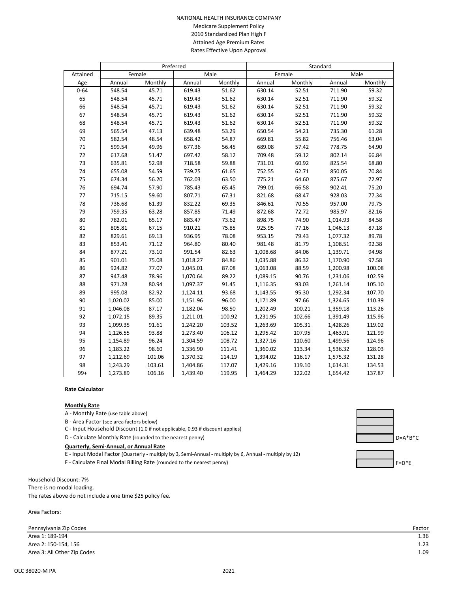#### NATIONAL HEALTH INSURANCE COMPANY Medicare Supplement Policy 2010 Standardized Plan High F Attained Age Premium Rates Rates Effective Upon Approval

|          | Preferred |         |          | Standard |          |         |          |         |  |
|----------|-----------|---------|----------|----------|----------|---------|----------|---------|--|
| Attained |           | Female  | Male     |          | Female   |         |          | Male    |  |
| Age      | Annual    | Monthly | Annual   | Monthly  | Annual   | Monthly | Annual   | Monthly |  |
| $0 - 64$ | 548.54    | 45.71   | 619.43   | 51.62    | 630.14   | 52.51   | 711.90   | 59.32   |  |
| 65       | 548.54    | 45.71   | 619.43   | 51.62    | 630.14   | 52.51   | 711.90   | 59.32   |  |
| 66       | 548.54    | 45.71   | 619.43   | 51.62    | 630.14   | 52.51   | 711.90   | 59.32   |  |
| 67       | 548.54    | 45.71   | 619.43   | 51.62    | 630.14   | 52.51   | 711.90   | 59.32   |  |
| 68       | 548.54    | 45.71   | 619.43   | 51.62    | 630.14   | 52.51   | 711.90   | 59.32   |  |
| 69       | 565.54    | 47.13   | 639.48   | 53.29    | 650.54   | 54.21   | 735.30   | 61.28   |  |
| 70       | 582.54    | 48.54   | 658.42   | 54.87    | 669.81   | 55.82   | 756.46   | 63.04   |  |
| $71\,$   | 599.54    | 49.96   | 677.36   | 56.45    | 689.08   | 57.42   | 778.75   | 64.90   |  |
| 72       | 617.68    | 51.47   | 697.42   | 58.12    | 709.48   | 59.12   | 802.14   | 66.84   |  |
| 73       | 635.81    | 52.98   | 718.58   | 59.88    | 731.01   | 60.92   | 825.54   | 68.80   |  |
| 74       | 655.08    | 54.59   | 739.75   | 61.65    | 752.55   | 62.71   | 850.05   | 70.84   |  |
| 75       | 674.34    | 56.20   | 762.03   | 63.50    | 775.21   | 64.60   | 875.67   | 72.97   |  |
| 76       | 694.74    | 57.90   | 785.43   | 65.45    | 799.01   | 66.58   | 902.41   | 75.20   |  |
| 77       | 715.15    | 59.60   | 807.71   | 67.31    | 821.68   | 68.47   | 928.03   | 77.34   |  |
| 78       | 736.68    | 61.39   | 832.22   | 69.35    | 846.61   | 70.55   | 957.00   | 79.75   |  |
| 79       | 759.35    | 63.28   | 857.85   | 71.49    | 872.68   | 72.72   | 985.97   | 82.16   |  |
| 80       | 782.01    | 65.17   | 883.47   | 73.62    | 898.75   | 74.90   | 1,014.93 | 84.58   |  |
| 81       | 805.81    | 67.15   | 910.21   | 75.85    | 925.95   | 77.16   | 1,046.13 | 87.18   |  |
| 82       | 829.61    | 69.13   | 936.95   | 78.08    | 953.15   | 79.43   | 1,077.32 | 89.78   |  |
| 83       | 853.41    | 71.12   | 964.80   | 80.40    | 981.48   | 81.79   | 1,108.51 | 92.38   |  |
| 84       | 877.21    | 73.10   | 991.54   | 82.63    | 1,008.68 | 84.06   | 1,139.71 | 94.98   |  |
| 85       | 901.01    | 75.08   | 1,018.27 | 84.86    | 1,035.88 | 86.32   | 1,170.90 | 97.58   |  |
| 86       | 924.82    | 77.07   | 1,045.01 | 87.08    | 1,063.08 | 88.59   | 1,200.98 | 100.08  |  |
| 87       | 947.48    | 78.96   | 1,070.64 | 89.22    | 1,089.15 | 90.76   | 1,231.06 | 102.59  |  |
| 88       | 971.28    | 80.94   | 1,097.37 | 91.45    | 1,116.35 | 93.03   | 1,261.14 | 105.10  |  |
| 89       | 995.08    | 82.92   | 1,124.11 | 93.68    | 1,143.55 | 95.30   | 1,292.34 | 107.70  |  |
| 90       | 1,020.02  | 85.00   | 1,151.96 | 96.00    | 1,171.89 | 97.66   | 1,324.65 | 110.39  |  |
| 91       | 1,046.08  | 87.17   | 1,182.04 | 98.50    | 1,202.49 | 100.21  | 1,359.18 | 113.26  |  |
| 92       | 1,072.15  | 89.35   | 1,211.01 | 100.92   | 1,231.95 | 102.66  | 1,391.49 | 115.96  |  |
| 93       | 1,099.35  | 91.61   | 1,242.20 | 103.52   | 1,263.69 | 105.31  | 1,428.26 | 119.02  |  |
| 94       | 1,126.55  | 93.88   | 1,273.40 | 106.12   | 1,295.42 | 107.95  | 1,463.91 | 121.99  |  |
| 95       | 1,154.89  | 96.24   | 1,304.59 | 108.72   | 1,327.16 | 110.60  | 1,499.56 | 124.96  |  |
| 96       | 1,183.22  | 98.60   | 1,336.90 | 111.41   | 1,360.02 | 113.34  | 1,536.32 | 128.03  |  |
| 97       | 1,212.69  | 101.06  | 1,370.32 | 114.19   | 1,394.02 | 116.17  | 1,575.32 | 131.28  |  |
| 98       | 1,243.29  | 103.61  | 1,404.86 | 117.07   | 1,429.16 | 119.10  | 1,614.31 | 134.53  |  |
| $99+$    | 1,273.89  | 106.16  | 1,439.40 | 119.95   | 1,464.29 | 122.02  | 1,654.42 | 137.87  |  |

### **Rate Calculator**

#### **Monthly Rate**

A - Monthly Rate (use table above)

B - Area Factor (see area factors below)

C - Input Household Discount (1.0 if not applicable, 0.93 if discount applies)

D - Calculate Monthly Rate (rounded to the nearest penny) D=A\*B\*C

#### **Quarterly, Semi-Annual, or Annual Rate**

- E Input Modal Factor (Quarterly multiply by 3, Semi-Annual multiply by 6, Annual multiply by 12)
- F Calculate Final Modal Billing Rate (rounded to the nearest penny) F Calculate Final Modal Billing Rate (rounded to the nearest penny)

Household Discount: 7% There is no modal loading. The rates above do not include a one time \$25 policy fee.

Area Factors:





| Factoi |      |
|--------|------|
|        | 1.36 |
|        |      |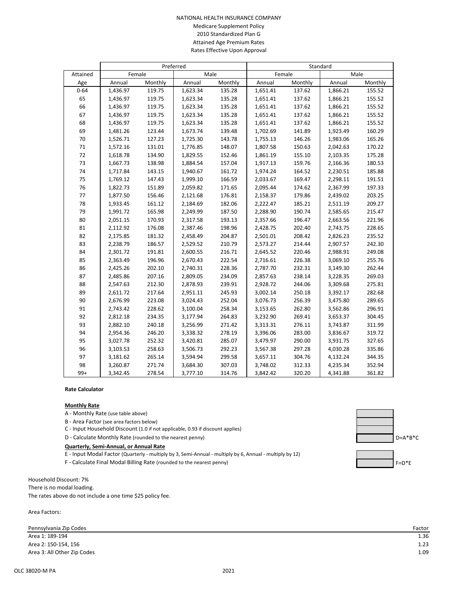#### NATIONAL HEALTH INSURANCE COMPANY Medicare Supplement Policy 2010 Standardized Plan G Attained Age Premium Rates Rates Effective Upon Approval

|          | Preferred |         |          |         | Standard |         |          |         |
|----------|-----------|---------|----------|---------|----------|---------|----------|---------|
| Attained |           | Female  |          | Male    | Female   |         | Male     |         |
| Age      | Annual    | Monthly | Annual   | Monthly | Annual   | Monthly | Annual   | Monthly |
| $0 - 64$ | 1,436.97  | 119.75  | 1,623.34 | 135.28  | 1,651.41 | 137.62  | 1,866.21 | 155.52  |
| 65       | 1,436.97  | 119.75  | 1,623.34 | 135.28  | 1,651.41 | 137.62  | 1,866.21 | 155.52  |
| 66       | 1,436.97  | 119.75  | 1,623.34 | 135.28  | 1,651.41 | 137.62  | 1,866.21 | 155.52  |
| 67       | 1,436.97  | 119.75  | 1,623.34 | 135.28  | 1,651.41 | 137.62  | 1,866.21 | 155.52  |
| 68       | 1,436.97  | 119.75  | 1,623.34 | 135.28  | 1,651.41 | 137.62  | 1,866.21 | 155.52  |
| 69       | 1,481.26  | 123.44  | 1,673.74 | 139.48  | 1,702.69 | 141.89  | 1,923.49 | 160.29  |
| 70       | 1,526.71  | 127.23  | 1,725.30 | 143.78  | 1,755.13 | 146.26  | 1,983.06 | 165.26  |
| 71       | 1,572.16  | 131.01  | 1,776.85 | 148.07  | 1,807.58 | 150.63  | 2,042.63 | 170.22  |
| 72       | 1,618.78  | 134.90  | 1,829.55 | 152.46  | 1,861.19 | 155.10  | 2,103.35 | 175.28  |
| 73       | 1,667.73  | 138.98  | 1,884.54 | 157.04  | 1,917.13 | 159.76  | 2,166.36 | 180.53  |
| 74       | 1,717.84  | 143.15  | 1,940.67 | 161.72  | 1,974.24 | 164.52  | 2,230.51 | 185.88  |
| 75       | 1,769.12  | 147.43  | 1,999.10 | 166.59  | 2,033.67 | 169.47  | 2,298.11 | 191.51  |
| 76       | 1,822.73  | 151.89  | 2,059.82 | 171.65  | 2,095.44 | 174.62  | 2,367.99 | 197.33  |
| 77       | 1,877.50  | 156.46  | 2,121.68 | 176.81  | 2,158.37 | 179.86  | 2,439.02 | 203.25  |
| 78       | 1,933.45  | 161.12  | 2,184.69 | 182.06  | 2,222.47 | 185.21  | 2,511.19 | 209.27  |
| 79       | 1,991.72  | 165.98  | 2,249.99 | 187.50  | 2,288.90 | 190.74  | 2,585.65 | 215.47  |
| 80       | 2,051.15  | 170.93  | 2,317.58 | 193.13  | 2,357.66 | 196.47  | 2,663.56 | 221.96  |
| 81       | 2,112.92  | 176.08  | 2,387.46 | 198.96  | 2,428.75 | 202.40  | 2,743.75 | 228.65  |
| 82       | 2,175.85  | 181.32  | 2,458.49 | 204.87  | 2,501.01 | 208.42  | 2,826.23 | 235.52  |
| 83       | 2,238.79  | 186.57  | 2,529.52 | 210.79  | 2,573.27 | 214.44  | 2,907.57 | 242.30  |
| 84       | 2,301.72  | 191.81  | 2,600.55 | 216.71  | 2,645.52 | 220.46  | 2,988.91 | 249.08  |
| 85       | 2,363.49  | 196.96  | 2,670.43 | 222.54  | 2,716.61 | 226.38  | 3,069.10 | 255.76  |
| 86       | 2,425.26  | 202.10  | 2,740.31 | 228.36  | 2,787.70 | 232.31  | 3,149.30 | 262.44  |
| 87       | 2,485.86  | 207.16  | 2,809.05 | 234.09  | 2,857.63 | 238.14  | 3,228.35 | 269.03  |
| 88       | 2,547.63  | 212.30  | 2,878.93 | 239.91  | 2,928.72 | 244.06  | 3,309.68 | 275.81  |
| 89       | 2,611.72  | 217.64  | 2,951.11 | 245.93  | 3,002.14 | 250.18  | 3,392.17 | 282.68  |
| 90       | 2,676.99  | 223.08  | 3,024.43 | 252.04  | 3,076.73 | 256.39  | 3,475.80 | 289.65  |
| 91       | 2,743.42  | 228.62  | 3,100.04 | 258.34  | 3,153.65 | 262.80  | 3,562.86 | 296.91  |
| 92       | 2,812.18  | 234.35  | 3,177.94 | 264.83  | 3,232.90 | 269.41  | 3,653.37 | 304.45  |
| 93       | 2,882.10  | 240.18  | 3,256.99 | 271.42  | 3,313.31 | 276.11  | 3,743.87 | 311.99  |
| 94       | 2,954.36  | 246.20  | 3,338.32 | 278.19  | 3,396.06 | 283.00  | 3,836.67 | 319.72  |
| 95       | 3,027.78  | 252.32  | 3,420.81 | 285.07  | 3,479.97 | 290.00  | 3,931.75 | 327.65  |
| 96       | 3,103.53  | 258.63  | 3,506.73 | 292.23  | 3,567.38 | 297.28  | 4,030.28 | 335.86  |
| 97       | 3,181.62  | 265.14  | 3,594.94 | 299.58  | 3,657.11 | 304.76  | 4,132.24 | 344.35  |
| 98       | 3,260.87  | 271.74  | 3,684.30 | 307.03  | 3,748.02 | 312.33  | 4,235.34 | 352.94  |
| $99+$    | 3,342.45  | 278.54  | 3,777.10 | 314.76  | 3,842.42 | 320.20  | 4,341.88 | 361.82  |

### **Rate Calculator**

#### **Monthly Rate**

A - Monthly Rate (use table above)

B - Area Factor (see area factors below)

C - Input Household Discount (1.0 if not applicable, 0.93 if discount applies)

D - Calculate Monthly Rate (rounded to the nearest penny) Department of the nearest penny D = A\*B\*C

#### **Quarterly, Semi-Annual, or Annual Rate**

- E Input Modal Factor (Quarterly multiply by 3, Semi-Annual multiply by 6, Annual multiply by 12)
- F Calculate Final Modal Billing Rate (rounded to the nearest penny) F Calculate Final Modal Billing Rate (rounded to the nearest penny)

Household Discount: 7% There is no modal loading. The rates above do not include a one time \$25 policy fee.

Area Factors:





| Factoi |      |
|--------|------|
|        | 1.36 |
|        | ົາ   |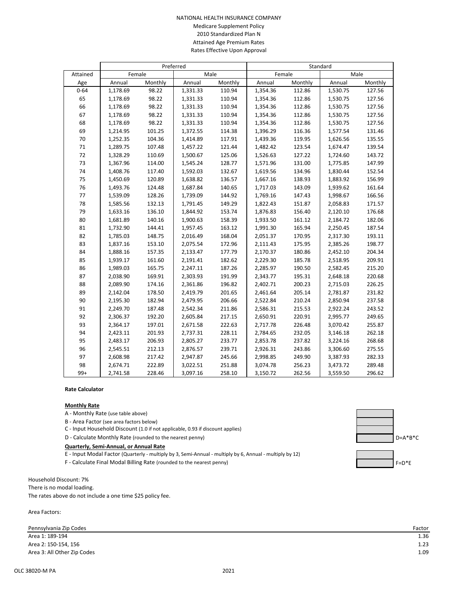#### NATIONAL HEALTH INSURANCE COMPANY Medicare Supplement Policy 2010 Standardized Plan N Attained Age Premium Rates Rates Effective Upon Approval

|          | Preferred |         |          |         | Standard |         |          |         |
|----------|-----------|---------|----------|---------|----------|---------|----------|---------|
| Attained |           | Female  | Male     |         | Female   |         | Male     |         |
| Age      | Annual    | Monthly | Annual   | Monthly | Annual   | Monthly | Annual   | Monthly |
| $0 - 64$ | 1,178.69  | 98.22   | 1,331.33 | 110.94  | 1,354.36 | 112.86  | 1,530.75 | 127.56  |
| 65       | 1,178.69  | 98.22   | 1,331.33 | 110.94  | 1,354.36 | 112.86  | 1,530.75 | 127.56  |
| 66       | 1,178.69  | 98.22   | 1,331.33 | 110.94  | 1,354.36 | 112.86  | 1,530.75 | 127.56  |
| 67       | 1,178.69  | 98.22   | 1,331.33 | 110.94  | 1,354.36 | 112.86  | 1,530.75 | 127.56  |
| 68       | 1,178.69  | 98.22   | 1,331.33 | 110.94  | 1,354.36 | 112.86  | 1,530.75 | 127.56  |
| 69       | 1,214.95  | 101.25  | 1,372.55 | 114.38  | 1,396.29 | 116.36  | 1,577.54 | 131.46  |
| 70       | 1,252.35  | 104.36  | 1,414.89 | 117.91  | 1,439.36 | 119.95  | 1,626.56 | 135.55  |
| $71\,$   | 1,289.75  | 107.48  | 1,457.22 | 121.44  | 1,482.42 | 123.54  | 1,674.47 | 139.54  |
| 72       | 1,328.29  | 110.69  | 1,500.67 | 125.06  | 1,526.63 | 127.22  | 1,724.60 | 143.72  |
| 73       | 1,367.96  | 114.00  | 1,545.24 | 128.77  | 1,571.96 | 131.00  | 1,775.85 | 147.99  |
| 74       | 1,408.76  | 117.40  | 1,592.03 | 132.67  | 1,619.56 | 134.96  | 1,830.44 | 152.54  |
| 75       | 1,450.69  | 120.89  | 1,638.82 | 136.57  | 1,667.16 | 138.93  | 1,883.92 | 156.99  |
| 76       | 1,493.76  | 124.48  | 1,687.84 | 140.65  | 1,717.03 | 143.09  | 1,939.62 | 161.64  |
| 77       | 1,539.09  | 128.26  | 1,739.09 | 144.92  | 1,769.16 | 147.43  | 1,998.67 | 166.56  |
| 78       | 1,585.56  | 132.13  | 1,791.45 | 149.29  | 1,822.43 | 151.87  | 2,058.83 | 171.57  |
| 79       | 1,633.16  | 136.10  | 1,844.92 | 153.74  | 1,876.83 | 156.40  | 2,120.10 | 176.68  |
| 80       | 1,681.89  | 140.16  | 1,900.63 | 158.39  | 1,933.50 | 161.12  | 2,184.72 | 182.06  |
| 81       | 1,732.90  | 144.41  | 1,957.45 | 163.12  | 1,991.30 | 165.94  | 2,250.45 | 187.54  |
| 82       | 1,785.03  | 148.75  | 2,016.49 | 168.04  | 2,051.37 | 170.95  | 2,317.30 | 193.11  |
| 83       | 1,837.16  | 153.10  | 2,075.54 | 172.96  | 2,111.43 | 175.95  | 2,385.26 | 198.77  |
| 84       | 1,888.16  | 157.35  | 2,133.47 | 177.79  | 2,170.37 | 180.86  | 2,452.10 | 204.34  |
| 85       | 1,939.17  | 161.60  | 2,191.41 | 182.62  | 2,229.30 | 185.78  | 2,518.95 | 209.91  |
| 86       | 1,989.03  | 165.75  | 2,247.11 | 187.26  | 2,285.97 | 190.50  | 2,582.45 | 215.20  |
| 87       | 2,038.90  | 169.91  | 2,303.93 | 191.99  | 2,343.77 | 195.31  | 2,648.18 | 220.68  |
| 88       | 2,089.90  | 174.16  | 2,361.86 | 196.82  | 2,402.71 | 200.23  | 2,715.03 | 226.25  |
| 89       | 2,142.04  | 178.50  | 2,419.79 | 201.65  | 2,461.64 | 205.14  | 2,781.87 | 231.82  |
| 90       | 2,195.30  | 182.94  | 2,479.95 | 206.66  | 2,522.84 | 210.24  | 2,850.94 | 237.58  |
| 91       | 2,249.70  | 187.48  | 2,542.34 | 211.86  | 2,586.31 | 215.53  | 2,922.24 | 243.52  |
| 92       | 2,306.37  | 192.20  | 2,605.84 | 217.15  | 2,650.91 | 220.91  | 2,995.77 | 249.65  |
| 93       | 2,364.17  | 197.01  | 2,671.58 | 222.63  | 2,717.78 | 226.48  | 3,070.42 | 255.87  |
| 94       | 2,423.11  | 201.93  | 2,737.31 | 228.11  | 2,784.65 | 232.05  | 3,146.18 | 262.18  |
| 95       | 2,483.17  | 206.93  | 2,805.27 | 233.77  | 2,853.78 | 237.82  | 3,224.16 | 268.68  |
| 96       | 2,545.51  | 212.13  | 2,876.57 | 239.71  | 2,926.31 | 243.86  | 3,306.60 | 275.55  |
| 97       | 2,608.98  | 217.42  | 2,947.87 | 245.66  | 2,998.85 | 249.90  | 3,387.93 | 282.33  |
| 98       | 2,674.71  | 222.89  | 3,022.51 | 251.88  | 3,074.78 | 256.23  | 3,473.72 | 289.48  |
| $99+$    | 2,741.58  | 228.46  | 3,097.16 | 258.10  | 3,150.72 | 262.56  | 3,559.50 | 296.62  |

### **Rate Calculator**

#### **Monthly Rate**

A - Monthly Rate (use table above)

B - Area Factor (see area factors below)

C - Input Household Discount (1.0 if not applicable, 0.93 if discount applies)

D - Calculate Monthly Rate (rounded to the nearest penny) D=A\*B\*C

#### **Quarterly, Semi-Annual, or Annual Rate**

- E Input Modal Factor (Quarterly multiply by 3, Semi-Annual multiply by 6, Annual multiply by 12)
- F Calculate Final Modal Billing Rate (rounded to the nearest penny) F Calculate Final Modal Billing Rate (rounded to the nearest penny)

Household Discount: 7% There is no modal loading. The rates above do not include a one time \$25 policy fee.

Area Factors:





| Factor |      |
|--------|------|
|        | 1.36 |
|        | 1ว:  |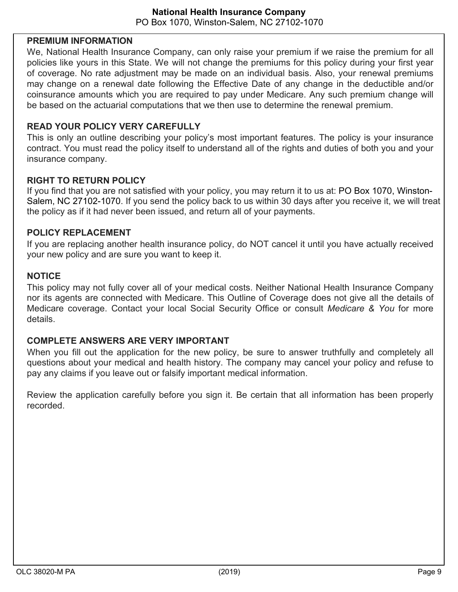### **PREMIUM INFORMATION**

We, National Health Insurance Company, can only raise your premium if we raise the premium for all policies like yours in this State. We will not change the premiums for this policy during your first year of coverage. No rate adjustment may be made on an individual basis. Also, your renewal premiums may change on a renewal date following the Effective Date of any change in the deductible and/or coinsurance amounts which you are required to pay under Medicare. Any such premium change will be based on the actuarial computations that we then use to determine the renewal premium.

## **READ YOUR POLICY VERY CAREFULLY**

This is only an outline describing your policy's most important features. The policy is your insurance contract. You must read the policy itself to understand all of the rights and duties of both you and your insurance company.

## **RIGHT TO RETURN POLICY**

If you find that you are not satisfied with your policy, you may return it to us at: PO Box 1070, Winston-Salem, NC 27102-1070. If you send the policy back to us within 30 days after you receive it, we will treat the policy as if it had never been issued, and return all of your payments.

## **POLICY REPLACEMENT**

If you are replacing another health insurance policy, do NOT cancel it until you have actually received your new policy and are sure you want to keep it.

## **NOTICE**

This policy may not fully cover all of your medical costs. Neither National Health Insurance Company nor its agents are connected with Medicare. This Outline of Coverage does not give all the details of Medicare coverage. Contact your local Social Security Office or consult *Medicare & You* for more details.

## **COMPLETE ANSWERS ARE VERY IMPORTANT**

When you fill out the application for the new policy, be sure to answer truthfully and completely all questions about your medical and health history. The company may cancel your policy and refuse to pay any claims if you leave out or falsify important medical information.

Review the application carefully before you sign it. Be certain that all information has been properly recorded.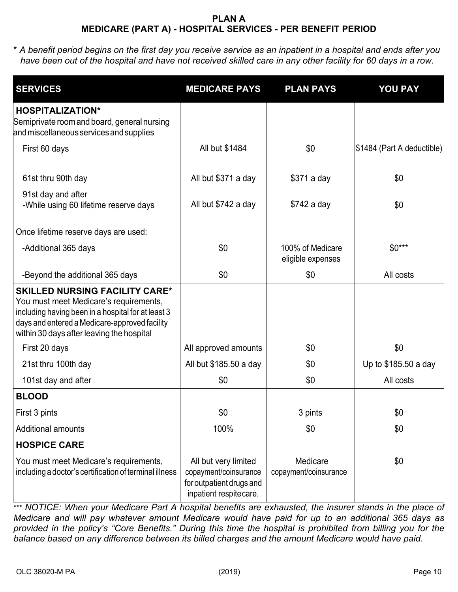## **PLAN A MEDICARE (PART A) - HOSPITAL SERVICES - PER BENEFIT PERIOD**

\* *A benefit period begins on the first day you receive service as an inpatient in a hospital and ends after you have been out of the hospital and have not received skilled care in any other facility for 60 days in a row.*

| <b>SERVICES</b>                                                                                                                                                                                                                     | <b>MEDICARE PAYS</b>                                                                                | <b>PLAN PAYS</b>                      | <b>YOU PAY</b>             |
|-------------------------------------------------------------------------------------------------------------------------------------------------------------------------------------------------------------------------------------|-----------------------------------------------------------------------------------------------------|---------------------------------------|----------------------------|
| <b>HOSPITALIZATION*</b><br>Semiprivate room and board, general nursing<br>and miscellaneous services and supplies                                                                                                                   |                                                                                                     |                                       |                            |
| First 60 days                                                                                                                                                                                                                       | All but \$1484                                                                                      | \$0                                   | \$1484 (Part A deductible) |
| 61st thru 90th day                                                                                                                                                                                                                  | All but \$371 a day                                                                                 | \$371 a day                           | \$0                        |
| 91st day and after<br>-While using 60 lifetime reserve days                                                                                                                                                                         | All but \$742 a day                                                                                 | \$742 a day                           | \$0                        |
| Once lifetime reserve days are used:                                                                                                                                                                                                |                                                                                                     |                                       |                            |
| -Additional 365 days                                                                                                                                                                                                                | \$0                                                                                                 | 100% of Medicare<br>eligible expenses | $$0***$                    |
| -Beyond the additional 365 days                                                                                                                                                                                                     | \$0                                                                                                 | \$0                                   | All costs                  |
| <b>SKILLED NURSING FACILITY CARE*</b><br>You must meet Medicare's requirements,<br>including having been in a hospital for at least 3<br>days and entered a Medicare-approved facility<br>within 30 days after leaving the hospital |                                                                                                     |                                       |                            |
| First 20 days                                                                                                                                                                                                                       | All approved amounts                                                                                | \$0                                   | \$0                        |
| 21st thru 100th day                                                                                                                                                                                                                 | All but \$185.50 a day                                                                              | \$0                                   | Up to \$185.50 a day       |
| 101st day and after                                                                                                                                                                                                                 | \$0                                                                                                 | \$0                                   | All costs                  |
| <b>BLOOD</b>                                                                                                                                                                                                                        |                                                                                                     |                                       |                            |
| First 3 pints                                                                                                                                                                                                                       | \$0                                                                                                 | 3 pints                               | \$0                        |
| <b>Additional amounts</b>                                                                                                                                                                                                           | 100%                                                                                                | \$0                                   | \$0                        |
| <b>HOSPICE CARE</b>                                                                                                                                                                                                                 |                                                                                                     |                                       |                            |
| You must meet Medicare's requirements,<br>including a doctor's certification of terminal illness                                                                                                                                    | All but very limited<br>copayment/coinsurance<br>for outpatient drugs and<br>inpatient respitecare. | Medicare<br>copayment/coinsurance     | \$0                        |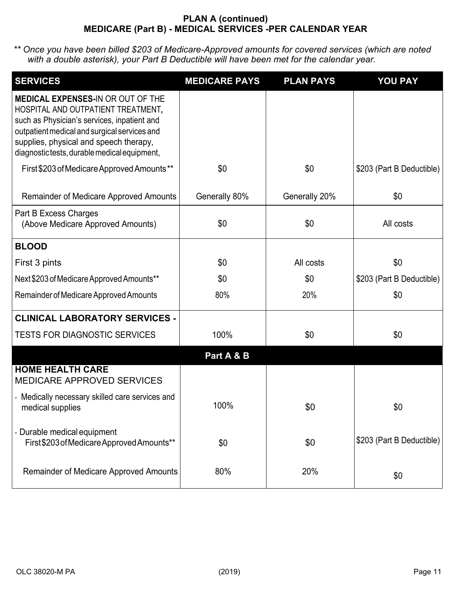### **PLAN A (continued) MEDICARE (Part B) - MEDICAL SERVICES -PER CALENDAR YEAR**

| <b>SERVICES</b>                                                                                                                                                                                                                                                        | <b>MEDICARE PAYS</b> | <b>PLAN PAYS</b> | <b>YOU PAY</b>            |
|------------------------------------------------------------------------------------------------------------------------------------------------------------------------------------------------------------------------------------------------------------------------|----------------------|------------------|---------------------------|
| <b>MEDICAL EXPENSES-IN OR OUT OF THE</b><br>HOSPITAL AND OUTPATIENT TREATMENT,<br>such as Physician's services, inpatient and<br>outpatient medical and surgical services and<br>supplies, physical and speech therapy,<br>diagnostictests, durable medical equipment, |                      |                  |                           |
| First \$203 of Medicare Approved Amounts**                                                                                                                                                                                                                             | \$0                  | \$0              | \$203 (Part B Deductible) |
| Remainder of Medicare Approved Amounts                                                                                                                                                                                                                                 | Generally 80%        | Generally 20%    | \$0                       |
| Part B Excess Charges<br>(Above Medicare Approved Amounts)                                                                                                                                                                                                             | \$0                  | \$0              | All costs                 |
| <b>BLOOD</b>                                                                                                                                                                                                                                                           |                      |                  |                           |
| First 3 pints                                                                                                                                                                                                                                                          | \$0                  | All costs        | \$0                       |
| Next \$203 of Medicare Approved Amounts**                                                                                                                                                                                                                              | \$0                  | \$0              | \$203 (Part B Deductible) |
| Remainder of Medicare Approved Amounts                                                                                                                                                                                                                                 | 80%                  | 20%              | \$0                       |
| <b>CLINICAL LABORATORY SERVICES -</b>                                                                                                                                                                                                                                  |                      |                  |                           |
| <b>TESTS FOR DIAGNOSTIC SERVICES</b>                                                                                                                                                                                                                                   | 100%                 | \$0              | \$0                       |
|                                                                                                                                                                                                                                                                        | Part A & B           |                  |                           |
| <b>HOME HEALTH CARE</b><br><b>MEDICARE APPROVED SERVICES</b>                                                                                                                                                                                                           |                      |                  |                           |
| - Medically necessary skilled care services and<br>medical supplies                                                                                                                                                                                                    | 100%                 | \$0              | \$0                       |
| - Durable medical equipment<br>First\$203 of Medicare Approved Amounts**                                                                                                                                                                                               | \$0                  | \$0              | \$203 (Part B Deductible) |
| <b>Remainder of Medicare Approved Amounts</b>                                                                                                                                                                                                                          | 80%                  | 20%              | \$0                       |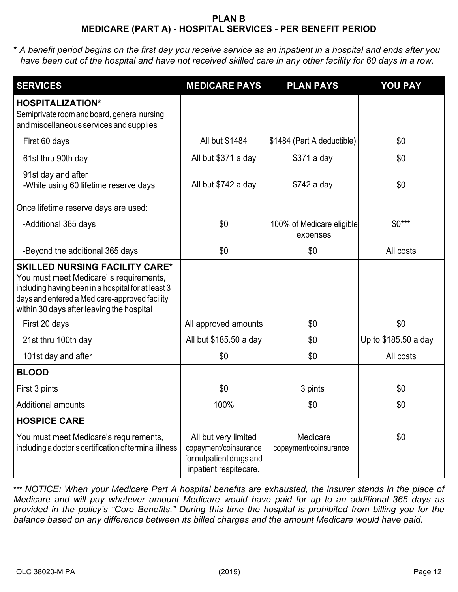### **PLAN B MEDICARE (PART A) - HOSPITAL SERVICES - PER BENEFIT PERIOD**

\* *A benefit period begins on the first day you receive service as an inpatient in a hospital and ends after you have been out of the hospital and have not received skilled care in any other facility for 60 days in a row.*

| <b>SERVICES</b>                                                                                                                                                                                                                     | <b>MEDICARE PAYS</b>                                                                                | <b>PLAN PAYS</b>                      | <b>YOU PAY</b>       |
|-------------------------------------------------------------------------------------------------------------------------------------------------------------------------------------------------------------------------------------|-----------------------------------------------------------------------------------------------------|---------------------------------------|----------------------|
| <b>HOSPITALIZATION*</b><br>Semiprivate room and board, general nursing<br>and miscellaneous services and supplies                                                                                                                   |                                                                                                     |                                       |                      |
| First 60 days                                                                                                                                                                                                                       | All but \$1484                                                                                      | \$1484 (Part A deductible)            | \$0                  |
| 61st thru 90th day                                                                                                                                                                                                                  | All but \$371 a day                                                                                 | \$371 a day                           | \$0                  |
| 91st day and after<br>-While using 60 lifetime reserve days                                                                                                                                                                         | All but \$742 a day                                                                                 | \$742 a day                           | \$0                  |
| Once lifetime reserve days are used:                                                                                                                                                                                                |                                                                                                     |                                       |                      |
| -Additional 365 days                                                                                                                                                                                                                | \$0                                                                                                 | 100% of Medicare eligible<br>expenses | $$0***$              |
| -Beyond the additional 365 days                                                                                                                                                                                                     | \$0                                                                                                 | \$0                                   | All costs            |
| <b>SKILLED NURSING FACILITY CARE*</b><br>You must meet Medicare's requirements,<br>including having been in a hospital for at least 3<br>days and entered a Medicare-approved facility<br>within 30 days after leaving the hospital |                                                                                                     |                                       |                      |
| First 20 days                                                                                                                                                                                                                       | All approved amounts                                                                                | \$0                                   | \$0                  |
| 21st thru 100th day                                                                                                                                                                                                                 | All but \$185.50 a day                                                                              | \$0                                   | Up to \$185.50 a day |
| 101st day and after                                                                                                                                                                                                                 | \$0                                                                                                 | \$0                                   | All costs            |
| <b>BLOOD</b>                                                                                                                                                                                                                        |                                                                                                     |                                       |                      |
| First 3 pints                                                                                                                                                                                                                       | \$0                                                                                                 | 3 pints                               | \$0                  |
| <b>Additional amounts</b>                                                                                                                                                                                                           | 100%                                                                                                | \$0                                   | \$0                  |
| <b>HOSPICE CARE</b>                                                                                                                                                                                                                 |                                                                                                     |                                       |                      |
| You must meet Medicare's requirements,<br>including a doctor's certification of terminal illness                                                                                                                                    | All but very limited<br>copayment/coinsurance<br>for outpatient drugs and<br>inpatient respitecare. | Medicare<br>copayment/coinsurance     | \$0                  |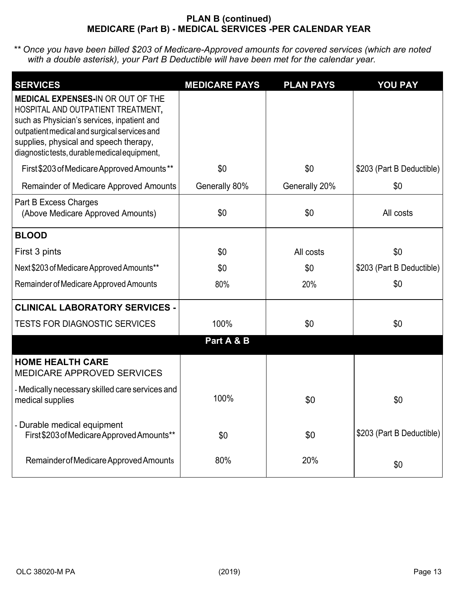### **PLAN B (continued) MEDICARE (Part B) - MEDICAL SERVICES -PER CALENDAR YEAR**

| <b>SERVICES</b>                                                                                                                                                                                                                                                        | <b>MEDICARE PAYS</b> | <b>PLAN PAYS</b> | <b>YOU PAY</b>            |
|------------------------------------------------------------------------------------------------------------------------------------------------------------------------------------------------------------------------------------------------------------------------|----------------------|------------------|---------------------------|
| <b>MEDICAL EXPENSES-IN OR OUT OF THE</b><br>HOSPITAL AND OUTPATIENT TREATMENT,<br>such as Physician's services, inpatient and<br>outpatient medical and surgical services and<br>supplies, physical and speech therapy,<br>diagnostictests, durable medical equipment, |                      |                  |                           |
| First \$203 of Medicare Approved Amounts**                                                                                                                                                                                                                             | \$0                  | \$0              | \$203 (Part B Deductible) |
| Remainder of Medicare Approved Amounts                                                                                                                                                                                                                                 | Generally 80%        | Generally 20%    | \$0                       |
| Part B Excess Charges<br>(Above Medicare Approved Amounts)                                                                                                                                                                                                             | \$0                  | \$0              | All costs                 |
| <b>BLOOD</b>                                                                                                                                                                                                                                                           |                      |                  |                           |
| First 3 pints                                                                                                                                                                                                                                                          | \$0                  | All costs        | \$0                       |
| Next \$203 of Medicare Approved Amounts**                                                                                                                                                                                                                              | \$0                  | \$0              | \$203 (Part B Deductible) |
| Remainder of Medicare Approved Amounts                                                                                                                                                                                                                                 | 80%                  | 20%              | \$0                       |
| <b>CLINICAL LABORATORY SERVICES -</b>                                                                                                                                                                                                                                  |                      |                  |                           |
| <b>TESTS FOR DIAGNOSTIC SERVICES</b>                                                                                                                                                                                                                                   | 100%                 | \$0              | \$0                       |
|                                                                                                                                                                                                                                                                        | Part A & B           |                  |                           |
| <b>HOME HEALTH CARE</b><br><b>MEDICARE APPROVED SERVICES</b>                                                                                                                                                                                                           |                      |                  |                           |
| - Medically necessary skilled care services and<br>medical supplies                                                                                                                                                                                                    | 100%                 | \$0              | \$0                       |
| - Durable medical equipment<br>First\$203 of Medicare Approved Amounts**                                                                                                                                                                                               | \$0                  | \$0              | \$203 (Part B Deductible) |
| Remainder of Medicare Approved Amounts                                                                                                                                                                                                                                 | 80%                  | 20%              | \$0                       |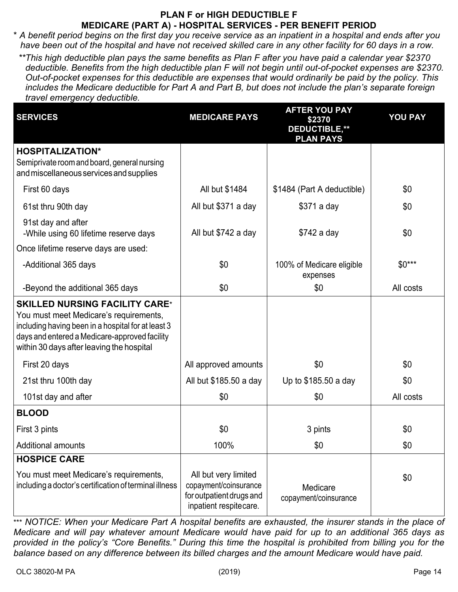# **PLAN F or HIGH DEDUCTIBLE F MEDICARE (PART A) - HOSPITAL SERVICES - PER BENEFIT PERIOD**

\* *A benefit period begins on the first day you receive service as an inpatient in a hospital and ends after you have been out of the hospital and have not received skilled care in any other facility for 60 days in a row.*

*\*\*This high deductible plan pays the same benefits as Plan F after you have paid a calendar year \$2370 deductible. Benefits from the high deductible plan F will not begin until out-of-pocket expenses are \$2370. Out-of-pocket expenses for this deductible are expenses that would ordinarily be paid by the policy. This includes the Medicare deductible for Part A and Part B, but does not include the plan's separate foreign travel emergency deductible.*

| <b>SERVICES</b>                                                                                                                                                                                                                     | <b>MEDICARE PAYS</b>                                                                                | <b>AFTER YOU PAY</b><br>\$2370<br><b>DEDUCTIBLE,**</b> | <b>YOU PAY</b> |
|-------------------------------------------------------------------------------------------------------------------------------------------------------------------------------------------------------------------------------------|-----------------------------------------------------------------------------------------------------|--------------------------------------------------------|----------------|
|                                                                                                                                                                                                                                     |                                                                                                     | <b>PLAN PAYS</b>                                       |                |
| <b>HOSPITALIZATION*</b><br>Semiprivate room and board, general nursing<br>and miscellaneous services and supplies                                                                                                                   |                                                                                                     |                                                        |                |
| First 60 days                                                                                                                                                                                                                       | All but \$1484                                                                                      | \$1484 (Part A deductible)                             | \$0            |
| 61st thru 90th day                                                                                                                                                                                                                  | All but \$371 a day                                                                                 | \$371 a day                                            | \$0            |
| 91st day and after<br>-While using 60 lifetime reserve days                                                                                                                                                                         | All but \$742 a day                                                                                 | \$742 a day                                            | \$0            |
| Once lifetime reserve days are used:                                                                                                                                                                                                |                                                                                                     |                                                        |                |
| -Additional 365 days                                                                                                                                                                                                                | \$0                                                                                                 | 100% of Medicare eligible<br>expenses                  | $$0***$        |
| -Beyond the additional 365 days                                                                                                                                                                                                     | \$0                                                                                                 | \$0                                                    | All costs      |
| <b>SKILLED NURSING FACILITY CARE*</b><br>You must meet Medicare's requirements,<br>including having been in a hospital for at least 3<br>days and entered a Medicare-approved facility<br>within 30 days after leaving the hospital |                                                                                                     |                                                        |                |
| First 20 days                                                                                                                                                                                                                       | All approved amounts                                                                                | \$0                                                    | \$0            |
| 21st thru 100th day                                                                                                                                                                                                                 | All but \$185.50 a day                                                                              | Up to \$185.50 a day                                   | \$0            |
| 101st day and after                                                                                                                                                                                                                 | \$0                                                                                                 | \$0                                                    | All costs      |
| <b>BLOOD</b>                                                                                                                                                                                                                        |                                                                                                     |                                                        |                |
| First 3 pints                                                                                                                                                                                                                       | \$0                                                                                                 | 3 pints                                                | \$0            |
| <b>Additional amounts</b>                                                                                                                                                                                                           | 100%                                                                                                | \$0                                                    | \$0            |
| <b>HOSPICE CARE</b>                                                                                                                                                                                                                 |                                                                                                     |                                                        |                |
| You must meet Medicare's requirements,<br>including a doctor's certification of terminal illness                                                                                                                                    | All but very limited<br>copayment/coinsurance<br>for outpatient drugs and<br>inpatient respitecare. | Medicare<br>copayment/coinsurance                      | \$0            |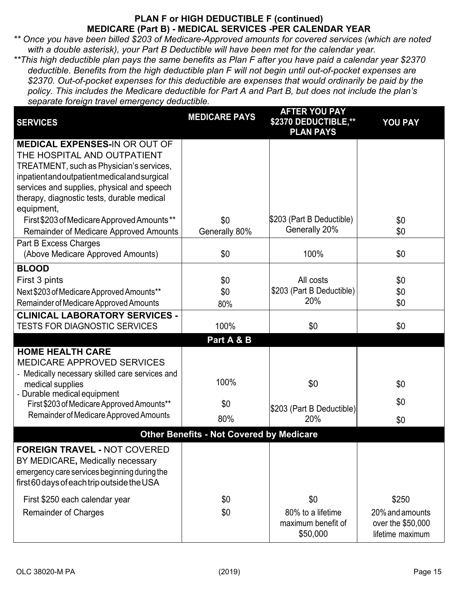## **PLAN F or HIGH DEDUCTIBLE F (continued) MEDICARE (Part B) - MEDICAL SERVICES -PER CALENDAR YEAR**

*\*\* Once you have been billed \$203 of Medicare-Approved amounts for covered services (which are noted with a double asterisk), your Part B Deductible will have been met for the calendar year.*

*\*\*This high deductible plan pays the same benefits as Plan F after you have paid a calendar year \$2370 deductible. Benefits from the high deductible plan F will not begin until out-of-pocket expenses are \$2370. Out-of-pocket expenses for this deductible are expenses that would ordinarily be paid by the policy. This includes the Medicare deductible for Part A and Part B, but does not include the plan's separate foreign travel emergency deductible.*

| <b>SERVICES</b>                                 | <b>MEDICARE PAYS</b>                            | <b>AFTER YOU PAY</b><br>\$2370 DEDUCTIBLE,**<br><b>PLAN PAYS</b> | <b>YOU PAY</b>    |
|-------------------------------------------------|-------------------------------------------------|------------------------------------------------------------------|-------------------|
| <b>MEDICAL EXPENSES-IN OR OUT OF</b>            |                                                 |                                                                  |                   |
| THE HOSPITAL AND OUTPATIENT                     |                                                 |                                                                  |                   |
| TREATMENT, such as Physician's services,        |                                                 |                                                                  |                   |
| inpatient and outpatient medical and surgical   |                                                 |                                                                  |                   |
| services and supplies, physical and speech      |                                                 |                                                                  |                   |
| therapy, diagnostic tests, durable medical      |                                                 |                                                                  |                   |
| equipment,                                      |                                                 |                                                                  |                   |
| First \$203 of Medicare Approved Amounts**      | \$0                                             | \$203 (Part B Deductible)                                        | \$0               |
| Remainder of Medicare Approved Amounts          | Generally 80%                                   | Generally 20%                                                    | \$0               |
| Part B Excess Charges                           |                                                 |                                                                  |                   |
| (Above Medicare Approved Amounts)               | \$0                                             | 100%                                                             | \$0               |
| <b>BLOOD</b>                                    |                                                 |                                                                  |                   |
| First 3 pints                                   | \$0                                             | All costs                                                        | \$0               |
| Next \$203 of Medicare Approved Amounts**       | \$0                                             | \$203 (Part B Deductible)                                        | \$0               |
| Remainder of Medicare Approved Amounts          | 80%                                             | 20%                                                              | \$0               |
| <b>CLINICAL LABORATORY SERVICES -</b>           |                                                 |                                                                  |                   |
| <b>TESTS FOR DIAGNOSTIC SERVICES</b>            | 100%                                            | \$0                                                              | \$0               |
|                                                 | Part A & B                                      |                                                                  |                   |
| <b>HOME HEALTH CARE</b>                         |                                                 |                                                                  |                   |
| <b>MEDICARE APPROVED SERVICES</b>               |                                                 |                                                                  |                   |
| - Medically necessary skilled care services and |                                                 |                                                                  |                   |
| medical supplies                                | 100%                                            | \$0                                                              | \$0               |
| - Durable medical equipment                     |                                                 |                                                                  | \$0               |
| First \$203 of Medicare Approved Amounts**      | \$0                                             | \$203 (Part B Deductible)                                        |                   |
| Remainder of Medicare Approved Amounts          | 80%                                             | 20%                                                              | \$0               |
|                                                 | <b>Other Benefits - Not Covered by Medicare</b> |                                                                  |                   |
| <b>FOREIGN TRAVEL - NOT COVERED</b>             |                                                 |                                                                  |                   |
| BY MEDICARE, Medically necessary                |                                                 |                                                                  |                   |
| emergency care services beginning during the    |                                                 |                                                                  |                   |
| first 60 days of each trip outside the USA      |                                                 |                                                                  |                   |
| First \$250 each calendar year                  | \$0                                             | \$0                                                              | \$250             |
| <b>Remainder of Charges</b>                     | \$0                                             | 80% to a lifetime                                                | 20% and amounts   |
|                                                 |                                                 | maximum benefit of                                               | over the \$50,000 |
|                                                 |                                                 | \$50,000                                                         | lifetime maximum  |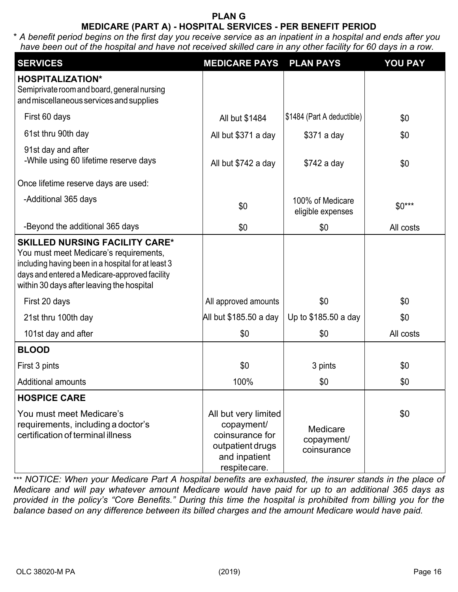## **PLAN G MEDICARE (PART A) - HOSPITAL SERVICES - PER BENEFIT PERIOD**

\* *A benefit period begins on the first day you receive service as an inpatient in a hospital and ends after you have been out of the hospital and have not received skilled care in any other facility for 60 days in a row.*

| <b>SERVICES</b>                                                                                                                                                                                                                     | <b>MEDICARE PAYS</b>                                                                                        | <b>PLAN PAYS</b>                      | <b>YOU PAY</b> |
|-------------------------------------------------------------------------------------------------------------------------------------------------------------------------------------------------------------------------------------|-------------------------------------------------------------------------------------------------------------|---------------------------------------|----------------|
| <b>HOSPITALIZATION*</b><br>Semiprivate room and board, general nursing<br>and miscellaneous services and supplies                                                                                                                   |                                                                                                             |                                       |                |
| First 60 days                                                                                                                                                                                                                       | All but \$1484                                                                                              | \$1484 (Part A deductible)            | \$0            |
| 61st thru 90th day                                                                                                                                                                                                                  | All but \$371 a day                                                                                         | \$371 a day                           | \$0            |
| 91st day and after<br>-While using 60 lifetime reserve days                                                                                                                                                                         | All but \$742 a day                                                                                         | \$742 a day                           | \$0            |
| Once lifetime reserve days are used:                                                                                                                                                                                                |                                                                                                             |                                       |                |
| -Additional 365 days                                                                                                                                                                                                                | \$0                                                                                                         | 100% of Medicare<br>eligible expenses | $$0***$        |
| -Beyond the additional 365 days                                                                                                                                                                                                     | \$0                                                                                                         | \$0                                   | All costs      |
| <b>SKILLED NURSING FACILITY CARE*</b><br>You must meet Medicare's requirements,<br>including having been in a hospital for at least 3<br>days and entered a Medicare-approved facility<br>within 30 days after leaving the hospital |                                                                                                             |                                       |                |
| First 20 days                                                                                                                                                                                                                       | All approved amounts                                                                                        | \$0                                   | \$0            |
| 21st thru 100th day                                                                                                                                                                                                                 | All but \$185.50 a day                                                                                      | Up to \$185.50 a day                  | \$0            |
| 101st day and after                                                                                                                                                                                                                 | \$0                                                                                                         | \$0                                   | All costs      |
| <b>BLOOD</b>                                                                                                                                                                                                                        |                                                                                                             |                                       |                |
| First 3 pints                                                                                                                                                                                                                       | \$0                                                                                                         | 3 pints                               | \$0            |
| <b>Additional amounts</b>                                                                                                                                                                                                           | 100%                                                                                                        | \$0                                   | \$0            |
| <b>HOSPICE CARE</b>                                                                                                                                                                                                                 |                                                                                                             |                                       |                |
| You must meet Medicare's<br>requirements, including a doctor's<br>certification of terminal illness                                                                                                                                 | All but very limited<br>copayment/<br>coinsurance for<br>outpatient drugs<br>and inpatient<br>respite care. | Medicare<br>copayment/<br>coinsurance | \$0            |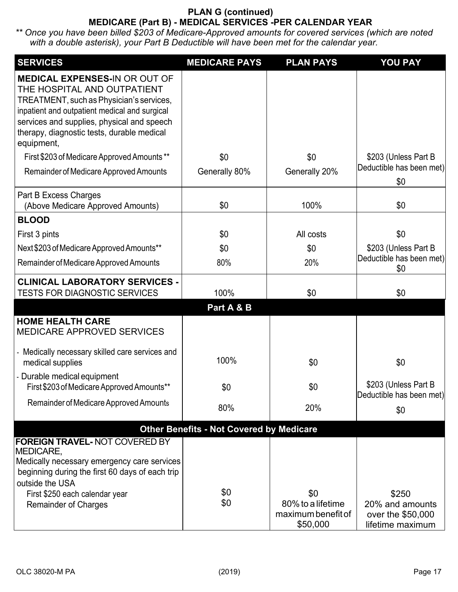## **PLAN G (continued) MEDICARE (Part B) - MEDICAL SERVICES -PER CALENDAR YEAR**

| <b>SERVICES</b>                                                                                                                                                                                                                                                            | <b>MEDICARE PAYS</b>                            | <b>PLAN PAYS</b>                                           | <b>YOU PAY</b>                                                    |
|----------------------------------------------------------------------------------------------------------------------------------------------------------------------------------------------------------------------------------------------------------------------------|-------------------------------------------------|------------------------------------------------------------|-------------------------------------------------------------------|
| <b>MEDICAL EXPENSES-IN OR OUT OF</b><br>THE HOSPITAL AND OUTPATIENT<br>TREATMENT, such as Physician's services,<br>inpatient and outpatient medical and surgical<br>services and supplies, physical and speech<br>therapy, diagnostic tests, durable medical<br>equipment, |                                                 |                                                            |                                                                   |
| First \$203 of Medicare Approved Amounts**                                                                                                                                                                                                                                 | \$0                                             | \$0                                                        | \$203 (Unless Part B)                                             |
| Remainder of Medicare Approved Amounts                                                                                                                                                                                                                                     | Generally 80%                                   | Generally 20%                                              | Deductible has been met)<br>\$0                                   |
| Part B Excess Charges<br>(Above Medicare Approved Amounts)                                                                                                                                                                                                                 | \$0                                             | 100%                                                       | \$0                                                               |
| <b>BLOOD</b>                                                                                                                                                                                                                                                               |                                                 |                                                            |                                                                   |
| First 3 pints                                                                                                                                                                                                                                                              | \$0                                             | All costs                                                  | \$0                                                               |
| Next \$203 of Medicare Approved Amounts**                                                                                                                                                                                                                                  | \$0                                             | \$0                                                        | \$203 (Unless Part B                                              |
| Remainder of Medicare Approved Amounts                                                                                                                                                                                                                                     | 80%                                             | 20%                                                        | Deductible has been met)<br>\$0                                   |
| <b>CLINICAL LABORATORY SERVICES -</b><br><b>TESTS FOR DIAGNOSTIC SERVICES</b>                                                                                                                                                                                              | 100%                                            | \$0                                                        | \$0                                                               |
|                                                                                                                                                                                                                                                                            | Part A & B                                      |                                                            |                                                                   |
| <b>HOME HEALTH CARE</b><br><b>MEDICARE APPROVED SERVICES</b>                                                                                                                                                                                                               |                                                 |                                                            |                                                                   |
| - Medically necessary skilled care services and<br>medical supplies                                                                                                                                                                                                        | 100%                                            | \$0                                                        | \$0                                                               |
| Durable medical equipment<br>First \$203 of Medicare Approved Amounts**                                                                                                                                                                                                    | \$0                                             | \$0                                                        | \$203 (Unless Part B<br>Deductible has been met)                  |
| Remainder of Medicare Approved Amounts                                                                                                                                                                                                                                     | 80%                                             | 20%                                                        | \$0                                                               |
|                                                                                                                                                                                                                                                                            | <b>Other Benefits - Not Covered by Medicare</b> |                                                            |                                                                   |
| <b>FOREIGN TRAVEL-NOT COVERED BY</b><br>MEDICARE,<br>Medically necessary emergency care services<br>beginning during the first 60 days of each trip<br>outside the USA<br>First \$250 each calendar year<br><b>Remainder of Charges</b>                                    | \$0<br>\$0                                      | \$0<br>80% to a lifetime<br>maximum benefit of<br>\$50,000 | \$250<br>20% and amounts<br>over the \$50,000<br>lifetime maximum |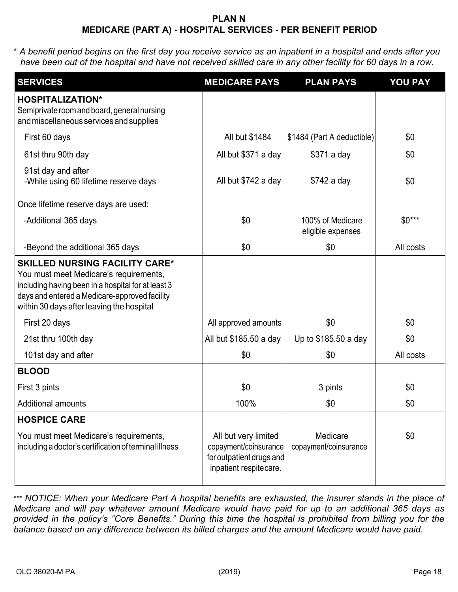### **PLAN N MEDICARE (PART A) - HOSPITAL SERVICES - PER BENEFIT PERIOD**

\* *A benefit period begins on the first day you receive service as an inpatient in a hospital and ends after you have been out of the hospital and have not received skilled care in any other facility for 60 days in a row.*

| <b>SERVICES</b>                                                                                                                                                                                                                     | <b>MEDICARE PAYS</b>                                                                                | <b>PLAN PAYS</b>                      | <b>YOU PAY</b> |
|-------------------------------------------------------------------------------------------------------------------------------------------------------------------------------------------------------------------------------------|-----------------------------------------------------------------------------------------------------|---------------------------------------|----------------|
| <b>HOSPITALIZATION*</b><br>Semiprivate room and board, general nursing<br>and miscellaneous services and supplies                                                                                                                   |                                                                                                     |                                       |                |
| First 60 days                                                                                                                                                                                                                       | All but \$1484                                                                                      | \$1484 (Part A deductible)            | \$0            |
| 61st thru 90th day                                                                                                                                                                                                                  | All but \$371 a day                                                                                 | \$371 a day                           | \$0            |
| 91st day and after<br>-While using 60 lifetime reserve days                                                                                                                                                                         | All but \$742 a day                                                                                 | \$742 a day                           | \$0            |
| Once lifetime reserve days are used:                                                                                                                                                                                                |                                                                                                     |                                       |                |
| -Additional 365 days                                                                                                                                                                                                                | \$0                                                                                                 | 100% of Medicare<br>eligible expenses | $$0***$        |
| -Beyond the additional 365 days                                                                                                                                                                                                     | \$0                                                                                                 | \$0                                   | All costs      |
| <b>SKILLED NURSING FACILITY CARE*</b><br>You must meet Medicare's requirements,<br>including having been in a hospital for at least 3<br>days and entered a Medicare-approved facility<br>within 30 days after leaving the hospital |                                                                                                     |                                       |                |
| First 20 days                                                                                                                                                                                                                       | All approved amounts                                                                                | \$0                                   | \$0            |
| 21st thru 100th day                                                                                                                                                                                                                 | All but \$185.50 a day                                                                              | Up to \$185.50 a day                  | \$0            |
| 101st day and after                                                                                                                                                                                                                 | \$0                                                                                                 | \$0                                   | All costs      |
| <b>BLOOD</b>                                                                                                                                                                                                                        |                                                                                                     |                                       |                |
| First 3 pints                                                                                                                                                                                                                       | \$0                                                                                                 | 3 pints                               | \$0            |
| <b>Additional amounts</b>                                                                                                                                                                                                           | 100%                                                                                                | \$0                                   | \$0            |
| <b>HOSPICE CARE</b>                                                                                                                                                                                                                 |                                                                                                     |                                       |                |
| You must meet Medicare's requirements,<br>including a doctor's certification of terminal illness                                                                                                                                    | All but very limited<br>copayment/coinsurance<br>for outpatient drugs and<br>inpatient respitecare. | Medicare<br>copayment/coinsurance     | \$0            |